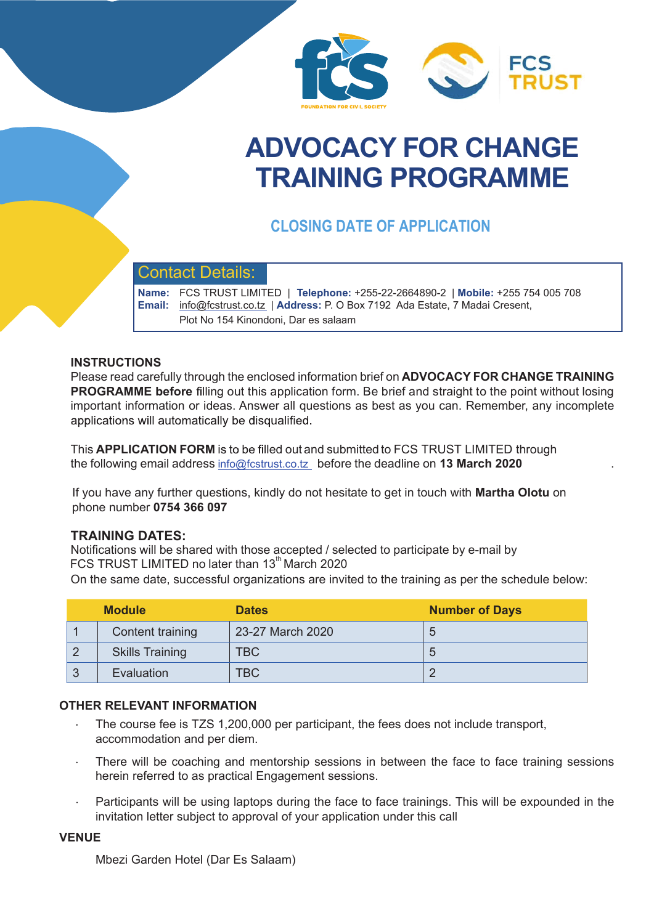

# **ADVOCACY FOR CHANGE TRAINING PROGRAMME**

## **CLOSING DATE OF APPLICATION**

## Contact Details:

**Name:** FCS TRUST LIMITED | **Telephone:** +255-22-2664890-2 | **Mobile:** +255 754 005 708 **Email:** info@fcstrust.co.tz | Address: P. O Box 7192 Ada Estate, 7 Madai Cresent, Plot No 154 Kinondoni, Dar es salaam

#### **INSTRUCTIONS**

Please read carefully through the enclosed information brief on **ADVOCACY FOR CHANGE TRAINING PROGRAMME before** filling out this application form. Be brief and straight to the point without losing important information or ideas. Answer all questions as best as you can. Remember, any incomplete applications will automatically be disqualified.

This **APPLICATION FORM** is to be filled out and submitted to FCS TRUST LIMITED through the following email address info@fcstrust.co.tz before the deadline on **13 March 2020** .

If you have any further questions, kindly do not hesitate to get in touch with **Martha Olotu** on phone number **0754 366 097**

#### **TRAINING DATES:**

Notifications will be shared with those accepted / selected to participate by e-mail by FCS TRUST LIMITED no later than  $13<sup>th</sup>$  March 2020

On the same date, successful organizations are invited to the training as per the schedule below:

|    | <b>Module</b>          | <b>Dates</b>     | <b>Number of Days</b> |
|----|------------------------|------------------|-----------------------|
|    | Content training       | 23-27 March 2020 | p                     |
|    | <b>Skills Training</b> | <b>TBC</b>       | b                     |
| -3 | Evaluation             | <b>TBC</b>       |                       |

#### **OTHER RELE VANT INFORMATION**

- The course fee is TZS 1,200,000 per participant, the fees does not include transport, accommodation and per diem.
- There will be coaching and mentorship sessions in between the face to face training sessions herein referred to as practical Engagement sessions.
- Participants will be using laptops during the face to face trainings. This will be expounded in the invitation letter subject to approval of your application under this call

#### **VENUE**

Mbezi Garden Hotel (Dar Es Salaam)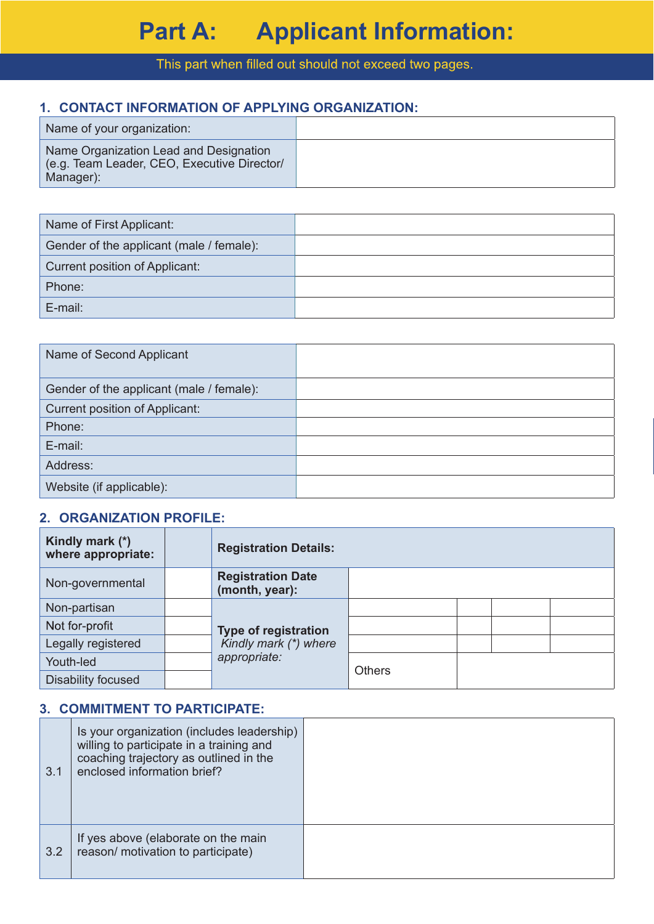## This part when filled out should not exceed two pages.

## **1. CONTACT INFORMATION OF APPLYING ORGANIZATION:**

| Name of your organization:                                                                         |  |
|----------------------------------------------------------------------------------------------------|--|
| Name Organization Lead and Designation<br>(e.g. Team Leader, CEO, Executive Director/<br>Manager): |  |

| Name of First Applicant:                 |  |
|------------------------------------------|--|
| Gender of the applicant (male / female): |  |
| Current position of Applicant:           |  |
| Phone:                                   |  |
| E-mail:                                  |  |
|                                          |  |

| Name of Second Applicant                 |  |
|------------------------------------------|--|
| Gender of the applicant (male / female): |  |
| Current position of Applicant:           |  |
| Phone:                                   |  |
| E-mail:                                  |  |
| Address:                                 |  |
| Website (if applicable):                 |  |

### **2. ORGANIZATION PROFILE:**

| Kindly mark (*)<br>where appropriate: |  | <b>Registration Details:</b>                                         |               |  |  |
|---------------------------------------|--|----------------------------------------------------------------------|---------------|--|--|
| Non-governmental                      |  | <b>Registration Date</b><br>(month, year):                           |               |  |  |
| Non-partisan                          |  | <b>Type of registration</b><br>Kindly mark (*) where<br>appropriate: |               |  |  |
| Not for-profit                        |  |                                                                      |               |  |  |
| Legally registered                    |  |                                                                      |               |  |  |
| Youth-led                             |  |                                                                      | <b>Others</b> |  |  |
| Disability focused                    |  |                                                                      |               |  |  |

## **3. COMMITMENT TO PARTICIPATE:**

| 3.1 | Is your organization (includes leadership)<br>willing to participate in a training and<br>coaching trajectory as outlined in the<br>enclosed information brief? |  |
|-----|-----------------------------------------------------------------------------------------------------------------------------------------------------------------|--|
| 3.2 | If yes above (elaborate on the main<br>reason/ motivation to participate)                                                                                       |  |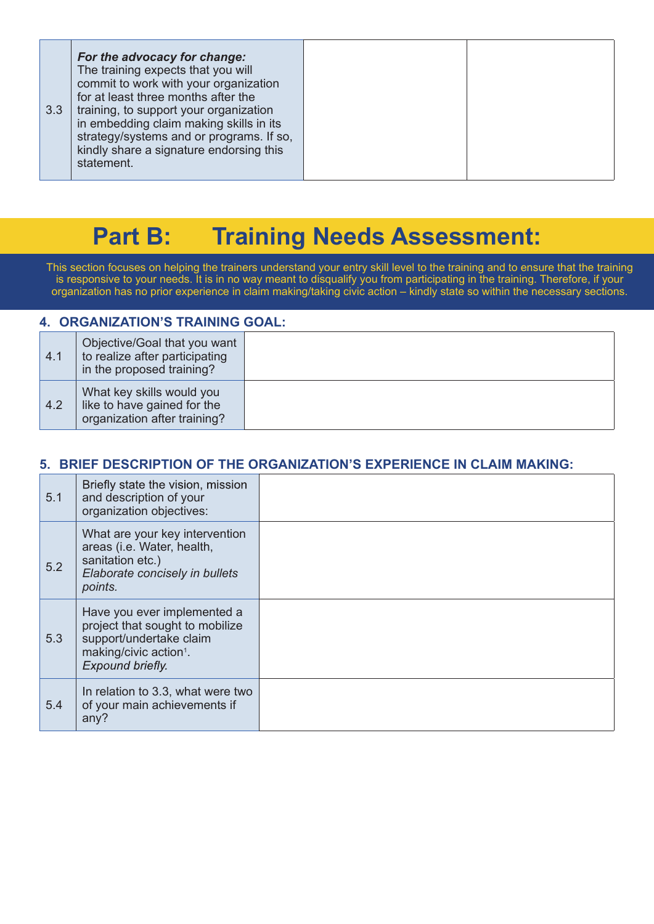| 3.3 | For the advocacy for change:<br>The training expects that you will<br>commit to work with your organization<br>for at least three months after the<br>training, to support your organization<br>in embedding claim making skills in its<br>strategy/systems and or programs. If so,<br>kindly share a signature endorsing this<br>statement. |  |  |
|-----|----------------------------------------------------------------------------------------------------------------------------------------------------------------------------------------------------------------------------------------------------------------------------------------------------------------------------------------------|--|--|
|-----|----------------------------------------------------------------------------------------------------------------------------------------------------------------------------------------------------------------------------------------------------------------------------------------------------------------------------------------------|--|--|

# **Part B: Training Needs Assessment:**

This section focuses on helping the trainers understand your entry skill level to the training and to ensure that the training is responsive to your needs. It is in no way meant to disqualify you from participating in the training. Therefore, if your organization has no prior experience in claim making/taking civic action – kindly state so within the necessary sections.

#### **4. ORGANIZATION'S TRAINING GOAL:**  4.1 Objective/Goal that you want to realize after participating in the proposed training? 4.2 What key skills would you like to have gained for the organization after training?

## **5. BRIEF DESCRIPTION OF THE ORGANIZATION'S EXPERIENCE IN CLAIM MAKING:**

| 5.1 | Briefly state the vision, mission<br>and description of your<br>organization objectives:                                                            |  |
|-----|-----------------------------------------------------------------------------------------------------------------------------------------------------|--|
| 5.2 | What are your key intervention<br>areas (i.e. Water, health,<br>sanitation etc.)<br>Elaborate concisely in bullets<br>points.                       |  |
| 5.3 | Have you ever implemented a<br>project that sought to mobilize<br>support/undertake claim<br>making/civic action <sup>1</sup> .<br>Expound briefly. |  |
| 5.4 | In relation to 3.3, what were two<br>of your main achievements if<br>any?                                                                           |  |